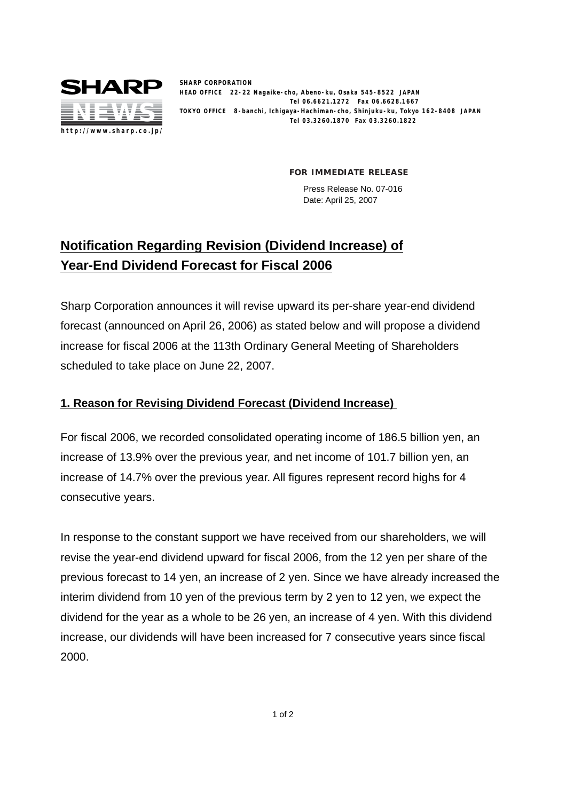

**SHARP CORPORATION HEAD OFFICE 22-22 Nagaike-cho, Abeno-ku, Osaka 545-8522 JAPAN Tel 06.6621.1272 Fax 06.6628.1667 TOKYO OFFICE 8-banchi, Ichigaya-Hachiman-cho, Shinjuku-ku, Tokyo 162-8408 JAPAN Tel 03.3260.1870 Fax 03.3260.1822**

**FOR IMMEDIATE RELEASE**

Press Release No. 07-016 Date: April 25, 2007

## **Notification Regarding Revision (Dividend Increase) of Year-End Dividend Forecast for Fiscal 2006**

Sharp Corporation announces it will revise upward its per-share year-end dividend forecast (announced on April 26, 2006) as stated below and will propose a dividend increase for fiscal 2006 at the 113th Ordinary General Meeting of Shareholders scheduled to take place on June 22, 2007.

## **1. Reason for Revising Dividend Forecast (Dividend Increase)**

For fiscal 2006, we recorded consolidated operating income of 186.5 billion yen, an increase of 13.9% over the previous year, and net income of 101.7 billion yen, an increase of 14.7% over the previous year. All figures represent record highs for 4 consecutive years.

In response to the constant support we have received from our shareholders, we will revise the year-end dividend upward for fiscal 2006, from the 12 yen per share of the previous forecast to 14 yen, an increase of 2 yen. Since we have already increased the interim dividend from 10 yen of the previous term by 2 yen to 12 yen, we expect the dividend for the year as a whole to be 26 yen, an increase of 4 yen. With this dividend increase, our dividends will have been increased for 7 consecutive years since fiscal 2000.